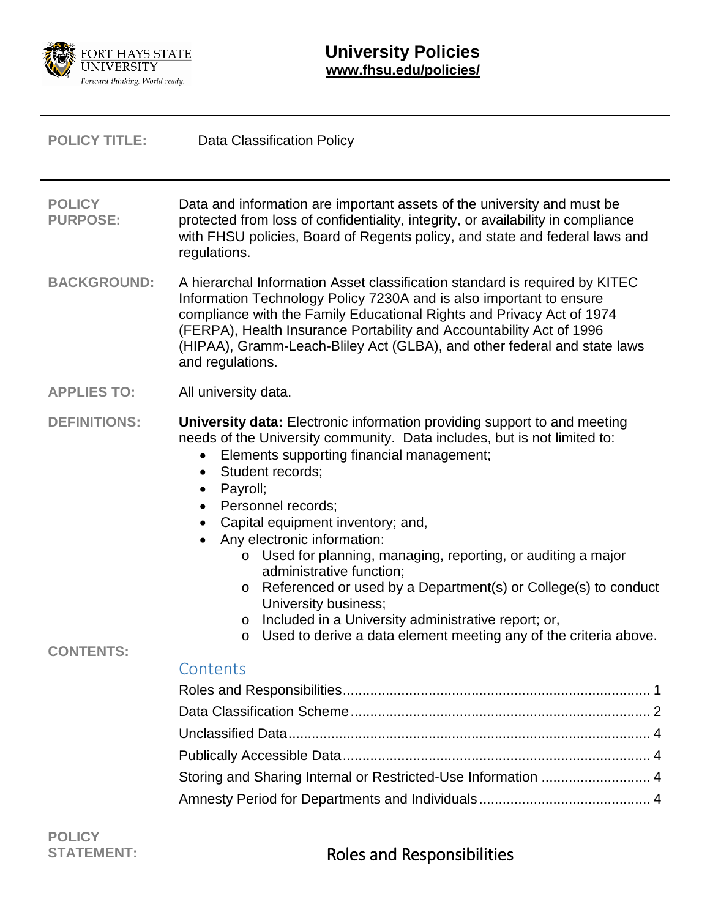

<span id="page-0-0"></span>

| <b>POLICY TITLE:</b>                    | Data Classification Policy                                                                                                                                                                                                                                                                                                                                                                                                                                                                                                                                                                                                                                                                                            |  |
|-----------------------------------------|-----------------------------------------------------------------------------------------------------------------------------------------------------------------------------------------------------------------------------------------------------------------------------------------------------------------------------------------------------------------------------------------------------------------------------------------------------------------------------------------------------------------------------------------------------------------------------------------------------------------------------------------------------------------------------------------------------------------------|--|
| <b>POLICY</b><br><b>PURPOSE:</b>        | Data and information are important assets of the university and must be<br>protected from loss of confidentiality, integrity, or availability in compliance<br>with FHSU policies, Board of Regents policy, and state and federal laws and<br>regulations.                                                                                                                                                                                                                                                                                                                                                                                                                                                            |  |
| <b>BACKGROUND:</b>                      | A hierarchal Information Asset classification standard is required by KITEC<br>Information Technology Policy 7230A and is also important to ensure<br>compliance with the Family Educational Rights and Privacy Act of 1974<br>(FERPA), Health Insurance Portability and Accountability Act of 1996<br>(HIPAA), Gramm-Leach-Bliley Act (GLBA), and other federal and state laws<br>and regulations.                                                                                                                                                                                                                                                                                                                   |  |
| <b>APPLIES TO:</b>                      | All university data.                                                                                                                                                                                                                                                                                                                                                                                                                                                                                                                                                                                                                                                                                                  |  |
| <b>DEFINITIONS:</b><br><b>CONTENTS:</b> | University data: Electronic information providing support to and meeting<br>needs of the University community. Data includes, but is not limited to:<br>Elements supporting financial management;<br>$\bullet$<br>Student records;<br>$\bullet$<br>Payroll;<br>$\bullet$<br>Personnel records;<br>Capital equipment inventory; and,<br>Any electronic information:<br>o Used for planning, managing, reporting, or auditing a major<br>administrative function;<br>Referenced or used by a Department(s) or College(s) to conduct<br>$\circ$<br>University business;<br>Included in a University administrative report; or,<br>$\circ$<br>Used to derive a data element meeting any of the criteria above.<br>$\circ$ |  |
|                                         | Contents                                                                                                                                                                                                                                                                                                                                                                                                                                                                                                                                                                                                                                                                                                              |  |
|                                         |                                                                                                                                                                                                                                                                                                                                                                                                                                                                                                                                                                                                                                                                                                                       |  |
|                                         |                                                                                                                                                                                                                                                                                                                                                                                                                                                                                                                                                                                                                                                                                                                       |  |
|                                         |                                                                                                                                                                                                                                                                                                                                                                                                                                                                                                                                                                                                                                                                                                                       |  |
|                                         | Storing and Sharing Internal or Restricted-Use Information  4                                                                                                                                                                                                                                                                                                                                                                                                                                                                                                                                                                                                                                                         |  |
|                                         |                                                                                                                                                                                                                                                                                                                                                                                                                                                                                                                                                                                                                                                                                                                       |  |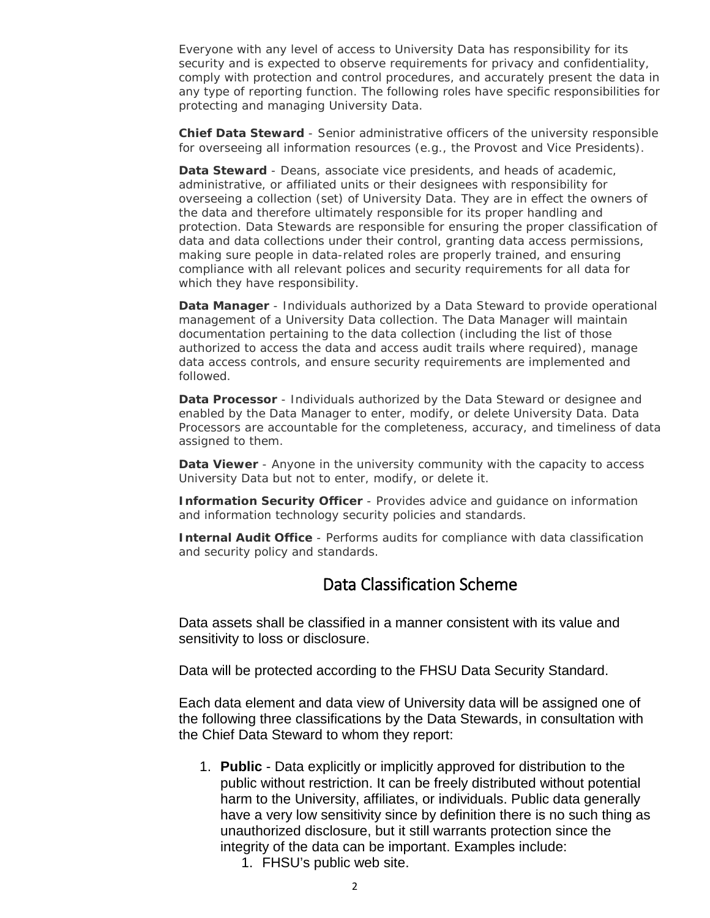Everyone with any level of access to University Data has responsibility for its security and is expected to observe requirements for privacy and confidentiality, comply with protection and control procedures, and accurately present the data in any type of reporting function. The following roles have specific responsibilities for protecting and managing University Data.

**Chief Data Steward** - Senior administrative officers of the university responsible for overseeing all information resources (e.g., the Provost and Vice Presidents).

**Data Steward** - Deans, associate vice presidents, and heads of academic, administrative, or affiliated units or their designees with responsibility for overseeing a collection (set) of University Data. They are in effect the owners of the data and therefore ultimately responsible for its proper handling and protection. Data Stewards are responsible for ensuring the proper classification of data and data collections under their control, granting data access permissions, making sure people in data-related roles are properly trained, and ensuring compliance with all relevant polices and security requirements for all data for which they have responsibility.

**Data Manager** - Individuals authorized by a Data Steward to provide operational management of a University Data collection. The Data Manager will maintain documentation pertaining to the data collection (including the list of those authorized to access the data and access audit trails where required), manage data access controls, and ensure security requirements are implemented and followed.

**Data Processor** - Individuals authorized by the Data Steward or designee and enabled by the Data Manager to enter, modify, or delete University Data. Data Processors are accountable for the completeness, accuracy, and timeliness of data assigned to them.

**Data Viewer** - Anyone in the university community with the capacity to access University Data but not to enter, modify, or delete it.

**Information Security Officer** - Provides advice and guidance on information and information technology security policies and standards.

<span id="page-1-0"></span>**Internal Audit Office** - Performs audits for compliance with data classification and security policy and standards.

## Data Classification Scheme

Data assets shall be classified in a manner consistent with its value and sensitivity to loss or disclosure.

Data will be protected according to the FHSU Data Security Standard.

Each data element and data view of University data will be assigned one of the following three classifications by the Data Stewards, in consultation with the Chief Data Steward to whom they report:

- 1. **Public** Data explicitly or implicitly approved for distribution to the public without restriction. It can be freely distributed without potential harm to the University, affiliates, or individuals. Public data generally have a very low sensitivity since by definition there is no such thing as unauthorized disclosure, but it still warrants protection since the integrity of the data can be important. Examples include:
	- 1. FHSU's public web site.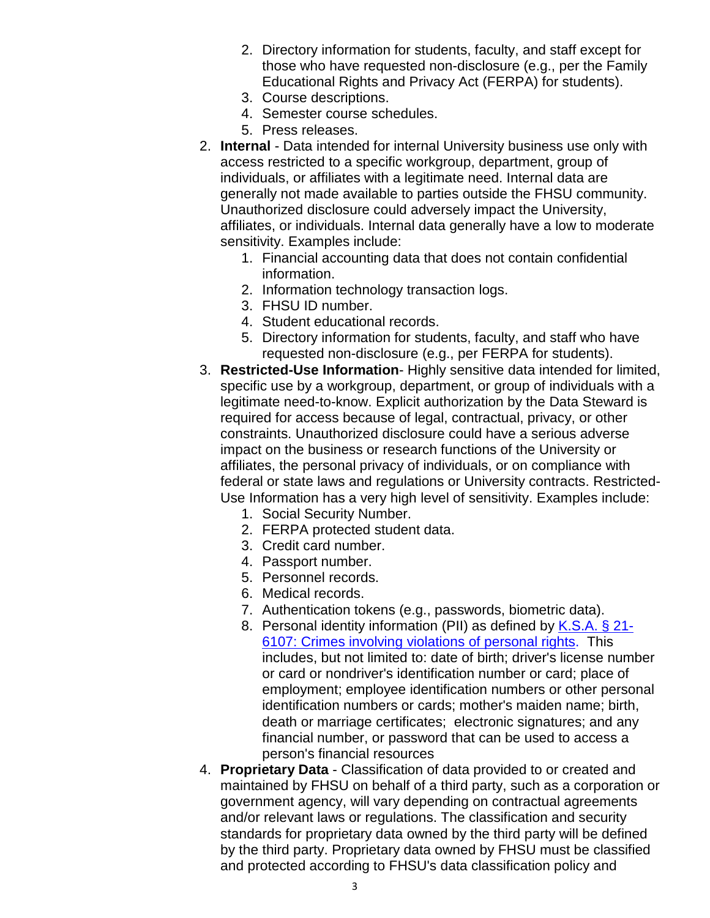- 2. Directory information for students, faculty, and staff except for those who have requested non-disclosure (e.g., per the Family Educational Rights and Privacy Act (FERPA) for students).
- 3. Course descriptions.
- 4. Semester course schedules.
- 5. Press releases.
- 2. **Internal** Data intended for internal University business use only with access restricted to a specific workgroup, department, group of individuals, or affiliates with a legitimate need. Internal data are generally not made available to parties outside the FHSU community. Unauthorized disclosure could adversely impact the University, affiliates, or individuals. Internal data generally have a low to moderate sensitivity. Examples include:
	- 1. Financial accounting data that does not contain confidential information.
	- 2. Information technology transaction logs.
	- 3. FHSU ID number.
	- 4. Student educational records.
	- 5. Directory information for students, faculty, and staff who have requested non-disclosure (e.g., per FERPA for students).
- 3. **Restricted-Use Information** Highly sensitive data intended for limited, specific use by a workgroup, department, or group of individuals with a legitimate need-to-know. Explicit authorization by the Data Steward is required for access because of legal, contractual, privacy, or other constraints. Unauthorized disclosure could have a serious adverse impact on the business or research functions of the University or affiliates, the personal privacy of individuals, or on compliance with federal or state laws and regulations or University contracts. Restricted-Use Information has a very high level of sensitivity. Examples include:
	- 1. Social Security Number.
	- 2. FERPA protected student data.
	- 3. Credit card number.
	- 4. Passport number.
	- 5. Personnel records.
	- 6. Medical records.
	- 7. Authentication tokens (e.g., passwords, biometric data).
	- 8. Personal identity information (PII) as defined by [K.S.A. § 21-](http://kslegislature.org/li_2012/b2011_12/statute/021_000_0000_chapter/021_061_0000_article/021_061_0007_section/021_061_0007_k/) [6107: Crimes involving violations of personal rights.](http://kslegislature.org/li_2012/b2011_12/statute/021_000_0000_chapter/021_061_0000_article/021_061_0007_section/021_061_0007_k/) This includes, but not limited to: date of birth; driver's license number or card or nondriver's identification number or card; place of employment; employee identification numbers or other personal identification numbers or cards; mother's maiden name; birth, death or marriage certificates; electronic signatures; and any financial number, or password that can be used to access a person's financial resources
- 4. **Proprietary Data** Classification of data provided to or created and maintained by FHSU on behalf of a third party, such as a corporation or government agency, will vary depending on contractual agreements and/or relevant laws or regulations. The classification and security standards for proprietary data owned by the third party will be defined by the third party. Proprietary data owned by FHSU must be classified and protected according to FHSU's data classification policy and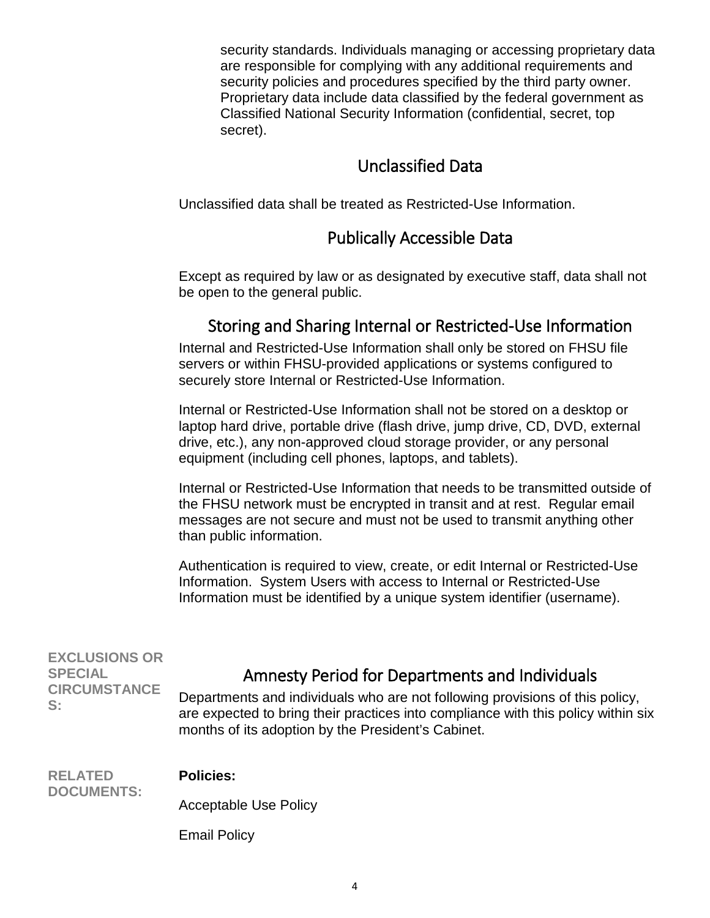security standards. Individuals managing or accessing proprietary data are responsible for complying with any additional requirements and security policies and procedures specified by the third party owner. Proprietary data include data classified by the federal government as Classified National Security Information (confidential, secret, top secret).

## Unclassified Data

<span id="page-3-1"></span><span id="page-3-0"></span>Unclassified data shall be treated as Restricted-Use Information.

## Publically Accessible Data

<span id="page-3-2"></span>Except as required by law or as designated by executive staff, data shall not be open to the general public.

## Storing and Sharing Internal or Restricted-Use Information

Internal and Restricted-Use Information shall only be stored on FHSU file servers or within FHSU-provided applications or systems configured to securely store Internal or Restricted-Use Information.

Internal or Restricted-Use Information shall not be stored on a desktop or laptop hard drive, portable drive (flash drive, jump drive, CD, DVD, external drive, etc.), any non-approved cloud storage provider, or any personal equipment (including cell phones, laptops, and tablets).

Internal or Restricted-Use Information that needs to be transmitted outside of the FHSU network must be encrypted in transit and at rest. Regular email messages are not secure and must not be used to transmit anything other than public information.

<span id="page-3-3"></span>

|                                                                     | Authentication is required to view, create, or edit Internal or Restricted-Use<br>Information. System Users with access to Internal or Restricted-Use<br>Information must be identified by a unique system identifier (username).                                         |
|---------------------------------------------------------------------|---------------------------------------------------------------------------------------------------------------------------------------------------------------------------------------------------------------------------------------------------------------------------|
| <b>EXCLUSIONS OR</b><br><b>SPECIAL</b><br><b>CIRCUMSTANCE</b><br>S: | Amnesty Period for Departments and Individuals<br>Departments and individuals who are not following provisions of this policy,<br>are expected to bring their practices into compliance with this policy within six<br>months of its adoption by the President's Cabinet. |
| <b>RELATED</b><br><b>DOCUMENTS:</b>                                 | <b>Policies:</b>                                                                                                                                                                                                                                                          |
|                                                                     | <b>Acceptable Use Policy</b>                                                                                                                                                                                                                                              |
|                                                                     | <b>Email Policy</b>                                                                                                                                                                                                                                                       |
|                                                                     |                                                                                                                                                                                                                                                                           |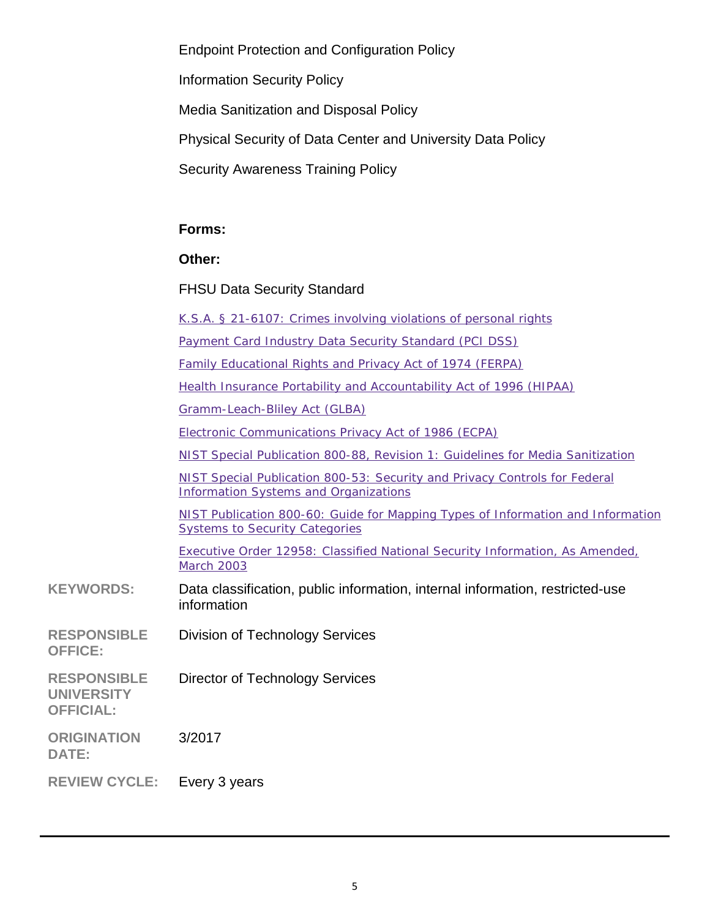Endpoint Protection and Configuration Policy Information Security Policy Media Sanitization and Disposal Policy Physical Security of Data Center and University Data Policy Security Awareness Training Policy **Forms: Other:** FHSU Data Security Standard [K.S.A. § 21-6107: Crimes involving violations of personal rights](http://kslegislature.org/li_2012/b2011_12/statute/021_000_0000_chapter/021_061_0000_article/021_061_0007_section/021_061_0007_k/) [Payment Card Industry Data Security Standard \(PCI DSS\)](https://www.pcisecuritystandards.org/security_standards/pci_dss.shtml) [Family Educational Rights and Privacy Act of 1974 \(FERPA\)](https://www2.ed.gov/policy/gen/guid/fpco/ferpa/index.html) [Health Insurance Portability and Accountability Act of 1996 \(HIPAA\)](http://www.hhs.gov/ocr/hipaa/) [Gramm-Leach-Bliley Act \(GLBA\)](http://www.ftc.gov/privacy/privacyinitiatives/glbact.html) [Electronic Communications Privacy Act of 1986 \(ECPA\)](https://it.ojp.gov/default.aspx?area=privacy&page=1285) [NIST Special Publication 800-88, Revision 1: Guidelines for Media Sanitization](http://nvlpubs.nist.gov/nistpubs/SpecialPublications/NIST.SP.800-88r1.pdf) [NIST Special Publication 800-53: Security and Privacy Controls for Federal](http://nvlpubs.nist.gov/nistpubs/SpecialPublications/NIST.SP.800-53r4.pdf)  [Information Systems and Organizations](http://nvlpubs.nist.gov/nistpubs/SpecialPublications/NIST.SP.800-53r4.pdf) [NIST Publication 800-60: Guide for Mapping Types of Information and Information](http://csrc.nist.gov/publications/nistpubs/800-60-rev1/SP800-60_Vol1-Rev1.pdf)  [Systems to Security Categories](http://csrc.nist.gov/publications/nistpubs/800-60-rev1/SP800-60_Vol1-Rev1.pdf) [Executive Order 12958: Classified National Security Information, As Amended,](http://www.archives.gov/isoo/policy-documents/eo-12958-amendment.html)  **[March 2003](http://www.archives.gov/isoo/policy-documents/eo-12958-amendment.html) KEYWORDS:** Data classification, public information, internal information, restricted-use information **RESPONSIBLE** Division of Technology Services **RESPONSIBLE UNIVERSITY OFFICIAL:** Director of Technology Services **ORIGINATION**  3/2017

**REVIEW CYCLE:** Every 3 years

**OFFICE:**

**DATE:**